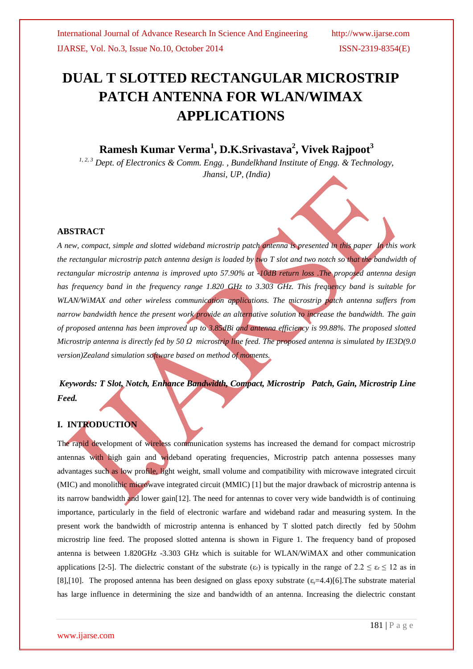# **DUAL T SLOTTED RECTANGULAR MICROSTRIP PATCH ANTENNA FOR WLAN/WIMAX APPLICATIONS**

# **Ramesh Kumar Verma<sup>1</sup> , D.K.Srivastava<sup>2</sup> , Vivek Rajpoot<sup>3</sup>**

*1, 2, 3 Dept. of Electronics & Comm. Engg. , Bundelkhand Institute of Engg. & Technology, Jhansi, UP, (India)*

### **ABSTRACT**

*A new, compact, simple and slotted wideband microstrip patch antenna is presented in this paper In this work the rectangular microstrip patch antenna design is loaded by two T slot and two notch so that the bandwidth of rectangular microstrip antenna is improved upto 57.90% at -10dB return loss .The proposed antenna design has frequency band in the frequency range 1.820 GHz to 3.303 GHz. This frequency band is suitable for WLAN/WiMAX and other wireless communication applications. The microstrip patch antenna suffers from narrow bandwidth hence the present work provide an alternative solution to increase the bandwidth. The gain of proposed antenna has been improved up to 3.85dBi and antenna efficiency is 99.88%. The proposed slotted Microstrip antenna is directly fed by 50 Ω microstrip line feed. The proposed antenna is simulated by IE3D(9.0 version)Zealand simulation software based on method of moments.*

# *Keywords: T Slot, Notch, Enhance Bandwidth, Compact, Microstrip Patch, Gain, Microstrip Line Feed.*

#### **I. INTRODUCTION**

The rapid development of wireless communication systems has increased the demand for compact microstrip antennas with high gain and wideband operating frequencies, Microstrip patch antenna possesses many advantages such as low profile, light weight, small volume and compatibility with microwave integrated circuit (MIC) and monolithic microwave integrated circuit (MMIC) [1] but the major drawback of microstrip antenna is its narrow bandwidth and lower gain[12]. The need for antennas to cover very wide bandwidth is of continuing importance, particularly in the field of electronic warfare and wideband radar and measuring system. In the present work the bandwidth of microstrip antenna is enhanced by T slotted patch directly fed by 50ohm microstrip line feed. The proposed slotted antenna is shown in Figure 1. The frequency band of proposed antenna is between 1.820GHz -3.303 GHz which is suitable for WLAN/WiMAX and other communication applications [2-5]. The dielectric constant of the substrate (ε<sub>r</sub>) is typically in the range of  $2.2 \le \varepsilon \le 12$  as in [8],[10]. The proposed antenna has been designed on glass epoxy substrate  $(\epsilon,=4.4)$ [6]. The substrate material has large influence in determining the size and bandwidth of an antenna. Increasing the dielectric constant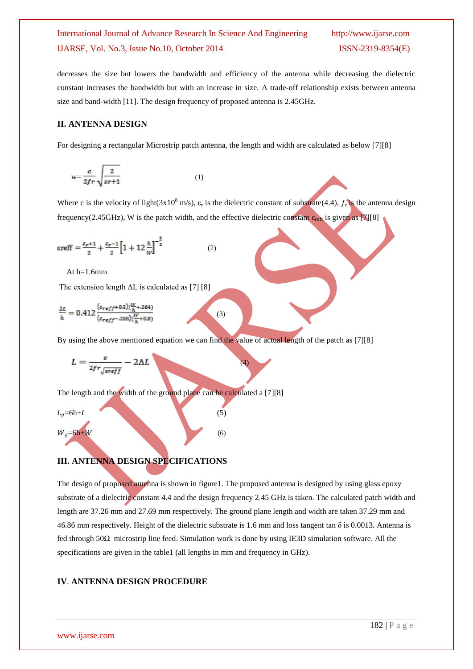# International Journal of Advance Research In Science And Engineering http://www.ijarse.com IJARSE, Vol. No.3, Issue No.10, October 2014 ISSN-2319-8354(E)

decreases the size but lowers the bandwidth and efficiency of the antenna while decreasing the dielectric constant increases the bandwidth but with an increase in size. A trade-off relationship exists between antenna size and band-width [11]. The design frequency of proposed antenna is 2.45GHz.

#### **II. ANTENNA DESIGN**

For designing a rectangular Microstrip patch antenna, the length and width are calculated as below [7][8]

$$
w = \frac{\sigma}{2fr} \sqrt{\frac{2}{sr+1}}
$$
 (1)

Where c is the velocity of light( $3x10^8$  m/s),  $\varepsilon_r$  is the dielectric constant of substrate(4.4),  $f_r$  is the antenna design frequency(2.45GHz), W is the patch width, and the effective dielectric constant  $\varepsilon_{ref}$  is given as [7][8]

$$
\varepsilon \text{reff} = \frac{\varepsilon_{r+1}}{2} + \frac{\varepsilon_{r-1}}{2} \Big[ 1 + 12 \frac{h}{w} \Big]^{-\frac{1}{2}} \tag{2}
$$

At h=1.6mm

The extension length  $\Delta L$  is calculated as [7] [8]

$$
\frac{\Delta L}{h} = 0.412 \frac{( \varepsilon_{reff} + 0.3)(\frac{W}{h} + .264)}{(\varepsilon_{reff} - .258)(\frac{W}{h} + 0.8)}
$$
(3)

By using the above mentioned equation we can find the value of actual length of the patch as [7][8]

$$
L = \frac{c}{2fr\sqrt{\text{ereff}}} - 2\Delta L \tag{4}
$$

The length and the width of the ground plane can be calculated a [7][8]

$$
L_g=6h+L
$$
  
\n
$$
W_g=6h+W
$$
\n(5)

### **III. ANTENNA DESIGN SPECIFICATIONS**

The design of proposed antenna is shown in figure1. The proposed antenna is designed by using glass epoxy substrate of a dielectric constant 4.4 and the design frequency 2.45 GHz is taken. The calculated patch width and length are 37.26 mm and 27.69 mm respectively. The ground plane length and width are taken 37.29 mm and 46.86 mm respectively. Height of the dielectric substrate is 1.6 mm and loss tangent tan  $\delta$  is 0.0013. Antenna is fed through 50Ω microstrip line feed. Simulation work is done by using IE3D simulation software. All the specifications are given in the table1 (all lengths in mm and frequency in GHz).

### **IV**. **ANTENNA DESIGN PROCEDURE**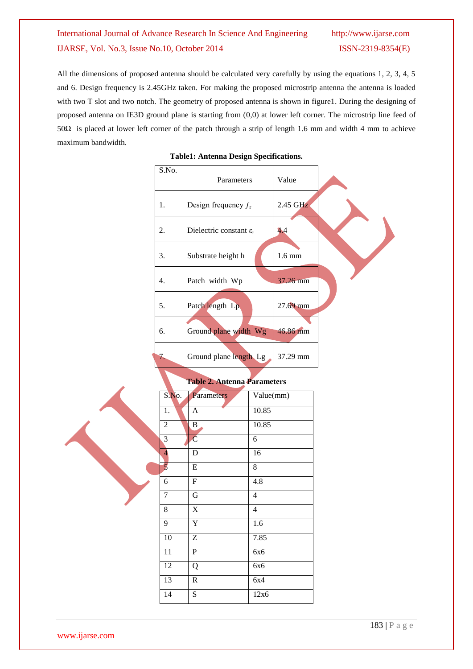# International Journal of Advance Research In Science And Engineering http://www.ijarse.com IJARSE, Vol. No.3, Issue No.10, October 2014 ISSN-2319-8354(E)

All the dimensions of proposed antenna should be calculated very carefully by using the equations 1, 2, 3, 4, 5 and 6. Design frequency is 2.45GHz taken. For making the proposed microstrip antenna the antenna is loaded with two T slot and two notch. The geometry of proposed antenna is shown in figure1. During the designing of proposed antenna on IE3D ground plane is starting from (0,0) at lower left corner. The microstrip line feed of 50Ω is placed at lower left corner of the patch through a strip of length 1.6 mm and width 4 mm to achieve maximum bandwidth.

|                         |       | o.                                        |                |                  |  |
|-------------------------|-------|-------------------------------------------|----------------|------------------|--|
| S.No.                   |       | Parameters                                |                | Value            |  |
| 1.                      |       | Design frequency $f_r$                    |                | 2.45 GHz         |  |
| 2.                      |       | Dielectric constant $\varepsilon_{\rm r}$ |                | 4.4              |  |
| 3.                      |       | Substrate height h                        |                | $1.6 \text{ mm}$ |  |
| 4.                      |       | Patch width Wp                            |                | 37.26 mm         |  |
| 5.                      |       | Patch length Lp                           |                | 27.69 mm         |  |
| 6.                      |       | Ground plane width Wg                     |                | 46.86 mm         |  |
| 7.                      |       | Ground plane length Lg                    |                | 37.29 mm         |  |
|                         |       | <b>Table 2. Antenna Parameters</b>        |                |                  |  |
|                         | S.No. | Parameters                                | Value(mm)      |                  |  |
| 1.                      |       | $\mathbf{A}$                              | 10.85          |                  |  |
| $\mathbf{2}$            |       | $\mathbf{B}$                              | 10.85          |                  |  |
| 3                       |       | $\overline{\mathbf{C}}$                   | 6              |                  |  |
| $\overline{\mathbf{4}}$ |       | ${\bf D}$                                 | 16             |                  |  |
| $\overline{5}$          |       | ${\bf E}$                                 | 8              |                  |  |
| 6                       |       | ${\bf F}$                                 | 4.8            |                  |  |
| $\tau$                  |       | ${\bf G}$                                 | $\overline{4}$ |                  |  |
| 8                       |       | $\mathbf X$                               | $\overline{4}$ |                  |  |
| 9                       |       | $\mathbf Y$                               | 1.6            |                  |  |
| 10                      |       | $\boldsymbol{Z}$                          | 7.85           |                  |  |
| 11                      |       | ${\bf P}$                                 | 6x6            |                  |  |
| 12                      |       | Q                                         | 6x6            |                  |  |
| 13                      |       | ${\bf R}$                                 | 6x4            |                  |  |
| 14                      |       | S                                         | 12x6           |                  |  |
|                         |       |                                           |                |                  |  |

**Table1: Antenna Design Specifications.**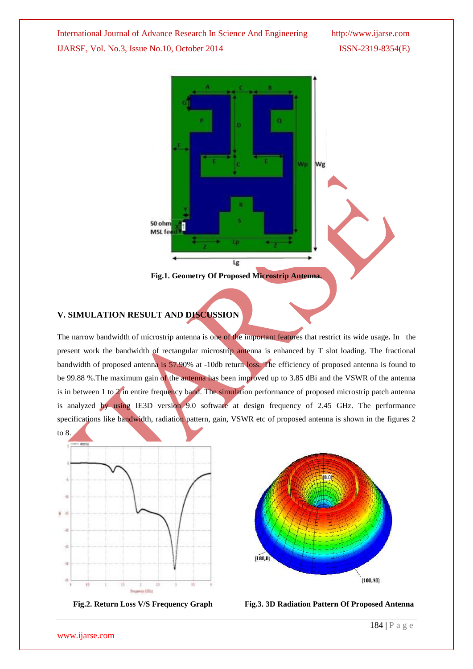International Journal of Advance Research In Science And Engineering http://www.ijarse.com IJARSE, Vol. No.3, Issue No.10, October 2014 ISSN-2319-8354(E)



## **V. SIMULATION RESULT AND DISCUSSION**

The narrow bandwidth of microstrip antenna is one of the important features that restrict its wide usage*.* In the present work the bandwidth of rectangular microstrip antenna is enhanced by T slot loading. The fractional bandwidth of proposed antenna is 57.90% at -10db return loss. The efficiency of proposed antenna is found to be 99.88 %.The maximum gain of the antenna has been improved up to 3.85 dBi and the VSWR of the antenna is in between 1 to 2 in entire frequency band. The simulation performance of proposed microstrip patch antenna is analyzed by using IE3D version 9.0 software at design frequency of 2.45 GHz. The performance specifications like bandwidth, radiation pattern, gain, VSWR etc of proposed antenna is shown in the figures 2





 **Fig.2. Return Loss V/S Frequency Graph Fig.3. 3D Radiation Pattern Of Proposed Antenna**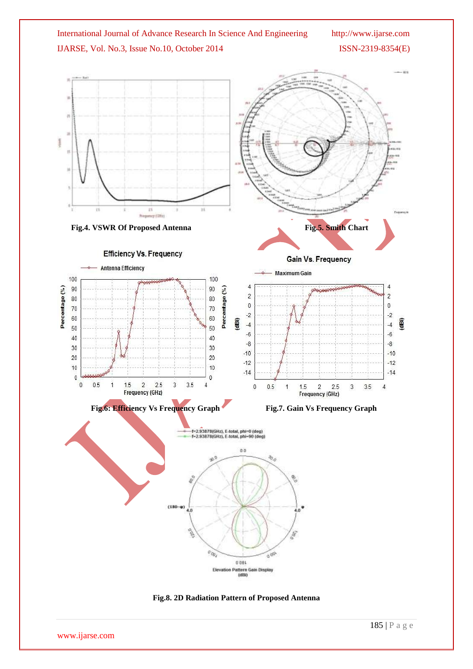

www.ijarse.com